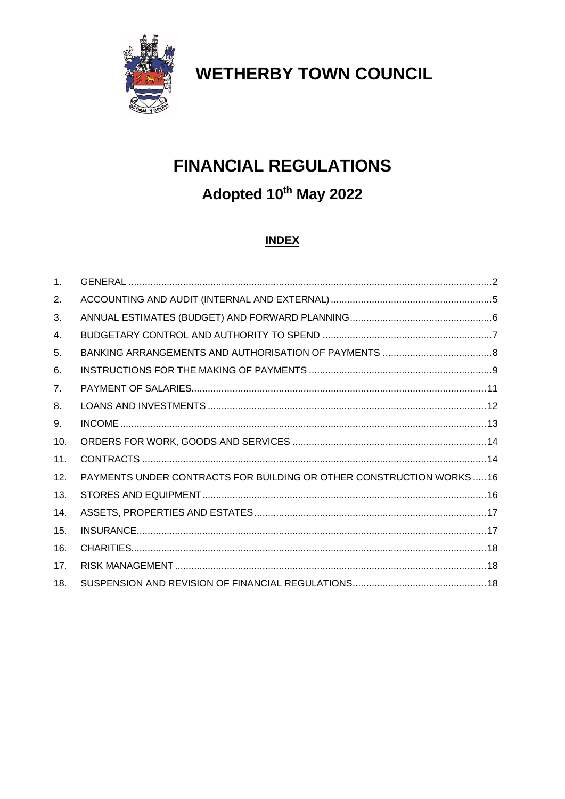

**WETHERBY TOWN COUNCIL** 

# **FINANCIAL REGULATIONS**

# Adopted 10th May 2022

# **INDEX**

| $\mathbf{1}$ . |                                                                     |  |
|----------------|---------------------------------------------------------------------|--|
| 2.             |                                                                     |  |
| 3.             |                                                                     |  |
| 4.             |                                                                     |  |
| 5.             |                                                                     |  |
| 6.             |                                                                     |  |
| 7.             |                                                                     |  |
| 8.             |                                                                     |  |
| 9.             |                                                                     |  |
| 10.            |                                                                     |  |
| 11.            |                                                                     |  |
| 12.            | PAYMENTS UNDER CONTRACTS FOR BUILDING OR OTHER CONSTRUCTION WORKS16 |  |
| 13.            |                                                                     |  |
| 14.            |                                                                     |  |
| 15.            |                                                                     |  |
| 16.            |                                                                     |  |
| 17.            |                                                                     |  |
| 18.            |                                                                     |  |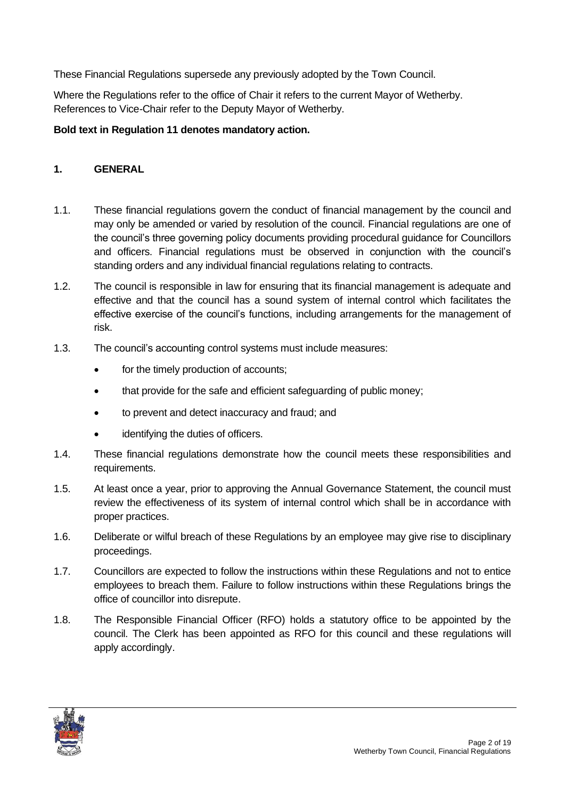These Financial Regulations supersede any previously adopted by the Town Council.

Where the Regulations refer to the office of Chair it refers to the current Mayor of Wetherby. References to Vice-Chair refer to the Deputy Mayor of Wetherby.

#### **Bold text in Regulation 11 denotes mandatory action.**

#### <span id="page-1-0"></span>**1. GENERAL**

- 1.1. These financial regulations govern the conduct of financial management by the council and may only be amended or varied by resolution of the council. Financial regulations are one of the council's three governing policy documents providing procedural guidance for Councillors and officers. Financial regulations must be observed in conjunction with the council's standing orders and any individual financial regulations relating to contracts.
- 1.2. The council is responsible in law for ensuring that its financial management is adequate and effective and that the council has a sound system of internal control which facilitates the effective exercise of the council's functions, including arrangements for the management of risk.
- 1.3. The council's accounting control systems must include measures:
	- for the timely production of accounts;
	- that provide for the safe and efficient safeguarding of public money;
	- to prevent and detect inaccuracy and fraud; and
	- identifying the duties of officers.
- 1.4. These financial regulations demonstrate how the council meets these responsibilities and requirements.
- 1.5. At least once a year, prior to approving the Annual Governance Statement, the council must review the effectiveness of its system of internal control which shall be in accordance with proper practices.
- 1.6. Deliberate or wilful breach of these Regulations by an employee may give rise to disciplinary proceedings.
- 1.7. Councillors are expected to follow the instructions within these Regulations and not to entice employees to breach them. Failure to follow instructions within these Regulations brings the office of councillor into disrepute.
- 1.8. The Responsible Financial Officer (RFO) holds a statutory office to be appointed by the council. The Clerk has been appointed as RFO for this council and these regulations will apply accordingly.

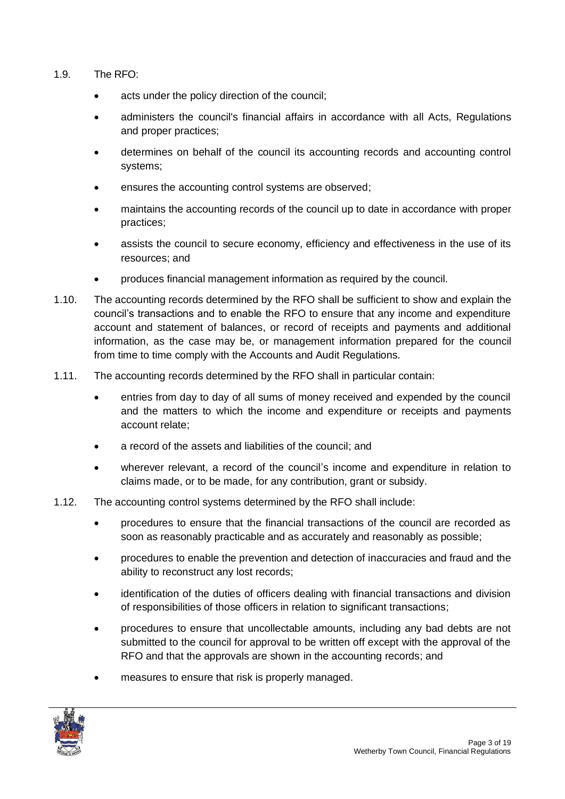- 1.9. The RFO:
	- acts under the policy direction of the council;
	- administers the council's financial affairs in accordance with all Acts, Regulations and proper practices;
	- determines on behalf of the council its accounting records and accounting control systems;
	- ensures the accounting control systems are observed;
	- maintains the accounting records of the council up to date in accordance with proper practices;
	- assists the council to secure economy, efficiency and effectiveness in the use of its resources; and
	- produces financial management information as required by the council.
- 1.10. The accounting records determined by the RFO shall be sufficient to show and explain the council's transactions and to enable the RFO to ensure that any income and expenditure account and statement of balances, or record of receipts and payments and additional information, as the case may be, or management information prepared for the council from time to time comply with the Accounts and Audit Regulations.
- 1.11. The accounting records determined by the RFO shall in particular contain:
	- entries from day to day of all sums of money received and expended by the council and the matters to which the income and expenditure or receipts and payments account relate;
	- a record of the assets and liabilities of the council; and
	- wherever relevant, a record of the council's income and expenditure in relation to claims made, or to be made, for any contribution, grant or subsidy.
- 1.12. The accounting control systems determined by the RFO shall include:
	- procedures to ensure that the financial transactions of the council are recorded as soon as reasonably practicable and as accurately and reasonably as possible;
	- procedures to enable the prevention and detection of inaccuracies and fraud and the ability to reconstruct any lost records;
	- identification of the duties of officers dealing with financial transactions and division of responsibilities of those officers in relation to significant transactions;
	- procedures to ensure that uncollectable amounts, including any bad debts are not submitted to the council for approval to be written off except with the approval of the RFO and that the approvals are shown in the accounting records; and
	- measures to ensure that risk is properly managed.

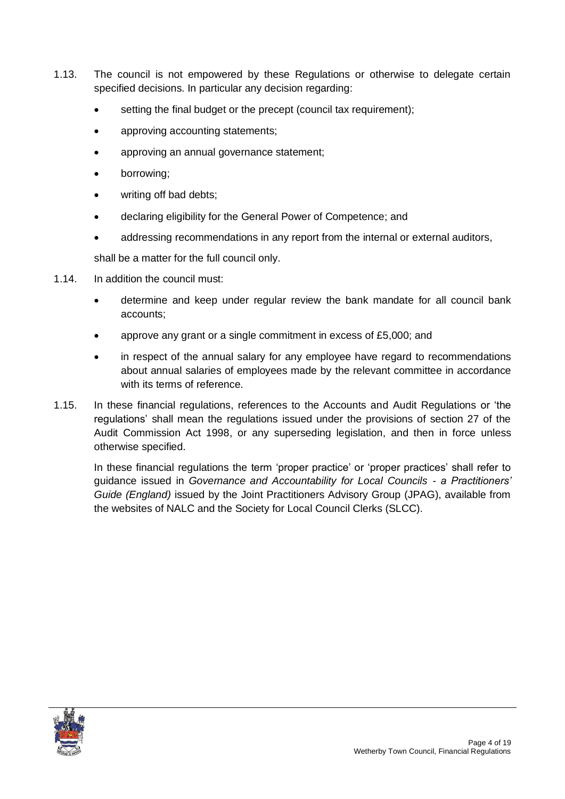- 1.13. The council is not empowered by these Regulations or otherwise to delegate certain specified decisions. In particular any decision regarding:
	- setting the final budget or the precept (council tax requirement);
	- approving accounting statements;
	- approving an annual governance statement;
	- borrowing;
	- writing off bad debts;
	- declaring eligibility for the General Power of Competence; and
	- addressing recommendations in any report from the internal or external auditors,

shall be a matter for the full council only.

- 1.14. In addition the council must:
	- determine and keep under regular review the bank mandate for all council bank accounts;
	- approve any grant or a single commitment in excess of £5,000; and
	- in respect of the annual salary for any employee have regard to recommendations about annual salaries of employees made by the relevant committee in accordance with its terms of reference.
- 1.15. In these financial regulations, references to the Accounts and Audit Regulations or 'the regulations' shall mean the regulations issued under the provisions of section 27 of the Audit Commission Act 1998, or any superseding legislation, and then in force unless otherwise specified.

<span id="page-3-0"></span>In these financial regulations the term 'proper practice' or 'proper practices' shall refer to guidance issued in *Governance and Accountability for Local Councils - a Practitioners' Guide (England)* issued by the Joint Practitioners Advisory Group (JPAG), available from the websites of NALC and the Society for Local Council Clerks (SLCC).

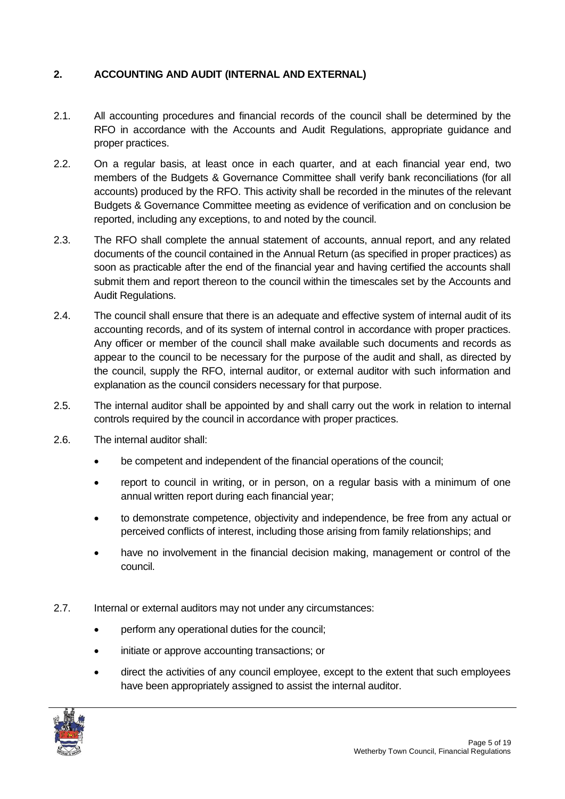### **2. ACCOUNTING AND AUDIT (INTERNAL AND EXTERNAL)**

- 2.1. All accounting procedures and financial records of the council shall be determined by the RFO in accordance with the Accounts and Audit Regulations, appropriate guidance and proper practices.
- 2.2. On a regular basis, at least once in each quarter, and at each financial year end, two members of the Budgets & Governance Committee shall verify bank reconciliations (for all accounts) produced by the RFO. This activity shall be recorded in the minutes of the relevant Budgets & Governance Committee meeting as evidence of verification and on conclusion be reported, including any exceptions, to and noted by the council.
- 2.3. The RFO shall complete the annual statement of accounts, annual report, and any related documents of the council contained in the Annual Return (as specified in proper practices) as soon as practicable after the end of the financial year and having certified the accounts shall submit them and report thereon to the council within the timescales set by the Accounts and Audit Regulations.
- 2.4. The council shall ensure that there is an adequate and effective system of internal audit of its accounting records, and of its system of internal control in accordance with proper practices. Any officer or member of the council shall make available such documents and records as appear to the council to be necessary for the purpose of the audit and shall, as directed by the council, supply the RFO, internal auditor, or external auditor with such information and explanation as the council considers necessary for that purpose.
- 2.5. The internal auditor shall be appointed by and shall carry out the work in relation to internal controls required by the council in accordance with proper practices.
- 2.6. The internal auditor shall:
	- be competent and independent of the financial operations of the council;
	- report to council in writing, or in person, on a regular basis with a minimum of one annual written report during each financial year;
	- to demonstrate competence, objectivity and independence, be free from any actual or perceived conflicts of interest, including those arising from family relationships; and
	- have no involvement in the financial decision making, management or control of the council.
- 2.7. Internal or external auditors may not under any circumstances:
	- perform any operational duties for the council;
	- initiate or approve accounting transactions; or
	- direct the activities of any council employee, except to the extent that such employees have been appropriately assigned to assist the internal auditor.

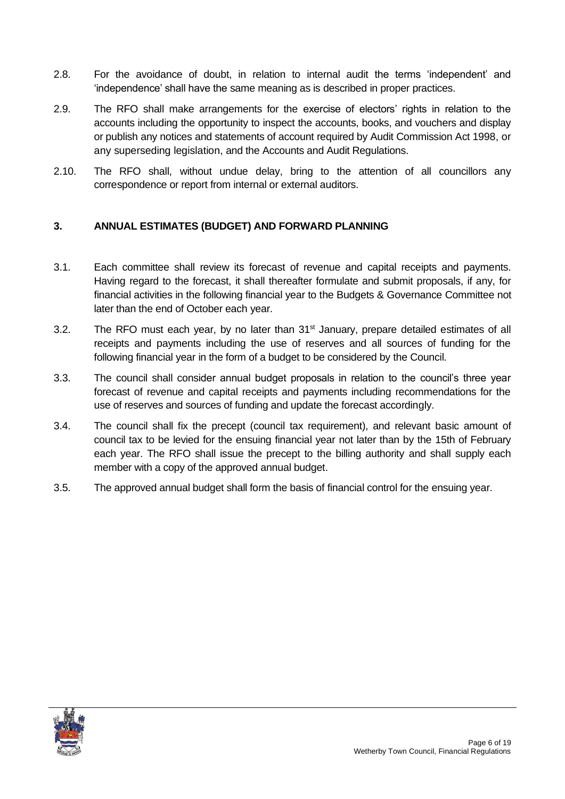- 2.8. For the avoidance of doubt, in relation to internal audit the terms 'independent' and 'independence' shall have the same meaning as is described in proper practices.
- 2.9. The RFO shall make arrangements for the exercise of electors' rights in relation to the accounts including the opportunity to inspect the accounts, books, and vouchers and display or publish any notices and statements of account required by Audit Commission Act 1998, or any superseding legislation, and the Accounts and Audit Regulations.
- 2.10. The RFO shall, without undue delay, bring to the attention of all councillors any correspondence or report from internal or external auditors.

# <span id="page-5-0"></span>**3. ANNUAL ESTIMATES (BUDGET) AND FORWARD PLANNING**

- 3.1. Each committee shall review its forecast of revenue and capital receipts and payments. Having regard to the forecast, it shall thereafter formulate and submit proposals, if any, for financial activities in the following financial year to the Budgets & Governance Committee not later than the end of October each year.
- 3.2. The RFO must each year, by no later than 31<sup>st</sup> January, prepare detailed estimates of all receipts and payments including the use of reserves and all sources of funding for the following financial year in the form of a budget to be considered by the Council.
- 3.3. The council shall consider annual budget proposals in relation to the council's three year forecast of revenue and capital receipts and payments including recommendations for the use of reserves and sources of funding and update the forecast accordingly.
- 3.4. The council shall fix the precept (council tax requirement), and relevant basic amount of council tax to be levied for the ensuing financial year not later than by the 15th of February each year. The RFO shall issue the precept to the billing authority and shall supply each member with a copy of the approved annual budget.
- <span id="page-5-1"></span>3.5. The approved annual budget shall form the basis of financial control for the ensuing year.

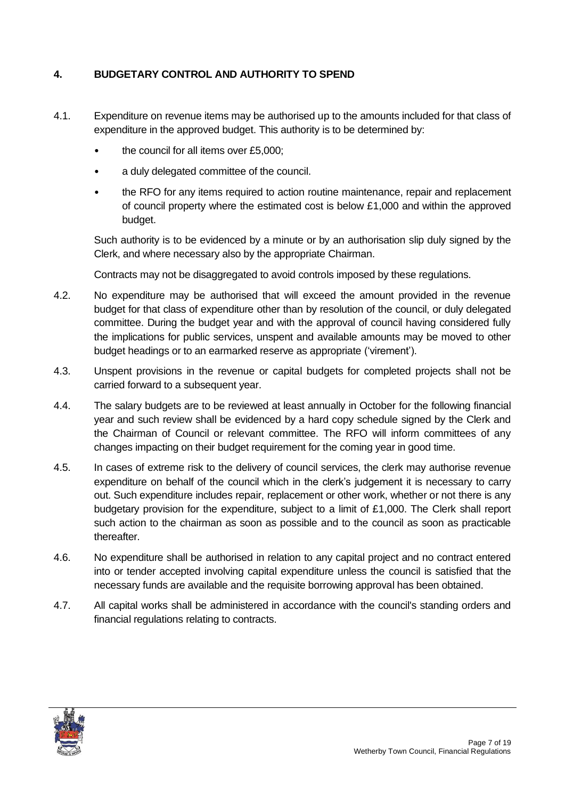### **4. BUDGETARY CONTROL AND AUTHORITY TO SPEND**

- 4.1. Expenditure on revenue items may be authorised up to the amounts included for that class of expenditure in the approved budget. This authority is to be determined by:
	- the council for all items over £5,000:
	- a duly delegated committee of the council.
	- the RFO for any items required to action routine maintenance, repair and replacement of council property where the estimated cost is below £1,000 and within the approved budget.

Such authority is to be evidenced by a minute or by an authorisation slip duly signed by the Clerk, and where necessary also by the appropriate Chairman.

Contracts may not be disaggregated to avoid controls imposed by these regulations.

- 4.2. No expenditure may be authorised that will exceed the amount provided in the revenue budget for that class of expenditure other than by resolution of the council, or duly delegated committee. During the budget year and with the approval of council having considered fully the implications for public services, unspent and available amounts may be moved to other budget headings or to an earmarked reserve as appropriate ('virement').
- 4.3. Unspent provisions in the revenue or capital budgets for completed projects shall not be carried forward to a subsequent year.
- 4.4. The salary budgets are to be reviewed at least annually in October for the following financial year and such review shall be evidenced by a hard copy schedule signed by the Clerk and the Chairman of Council or relevant committee. The RFO will inform committees of any changes impacting on their budget requirement for the coming year in good time.
- 4.5. In cases of extreme risk to the delivery of council services, the clerk may authorise revenue expenditure on behalf of the council which in the clerk's judgement it is necessary to carry out. Such expenditure includes repair, replacement or other work, whether or not there is any budgetary provision for the expenditure, subject to a limit of £1,000. The Clerk shall report such action to the chairman as soon as possible and to the council as soon as practicable thereafter.
- 4.6. No expenditure shall be authorised in relation to any capital project and no contract entered into or tender accepted involving capital expenditure unless the council is satisfied that the necessary funds are available and the requisite borrowing approval has been obtained.
- 4.7. All capital works shall be administered in accordance with the council's standing orders and financial regulations relating to contracts.

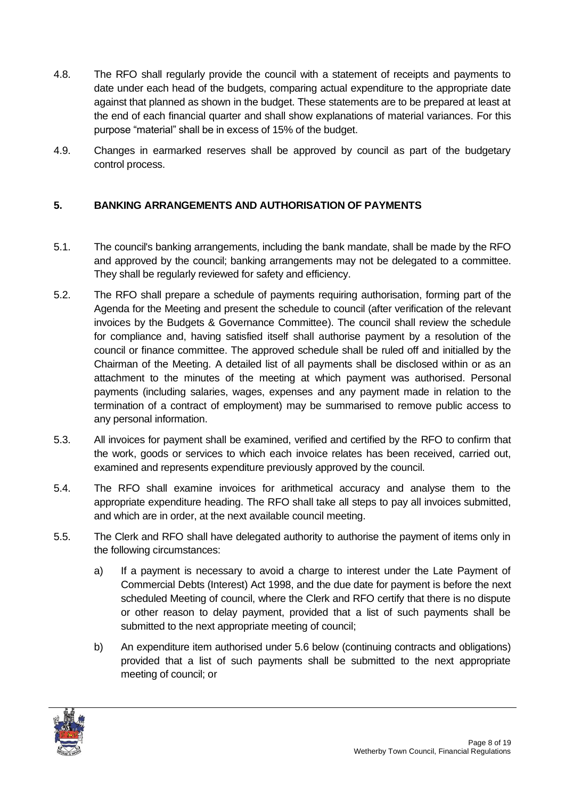- 4.8. The RFO shall regularly provide the council with a statement of receipts and payments to date under each head of the budgets, comparing actual expenditure to the appropriate date against that planned as shown in the budget. These statements are to be prepared at least at the end of each financial quarter and shall show explanations of material variances. For this purpose "material" shall be in excess of 15% of the budget.
- 4.9. Changes in earmarked reserves shall be approved by council as part of the budgetary control process.

#### <span id="page-7-0"></span>**5. BANKING ARRANGEMENTS AND AUTHORISATION OF PAYMENTS**

- 5.1. The council's banking arrangements, including the bank mandate, shall be made by the RFO and approved by the council; banking arrangements may not be delegated to a committee. They shall be regularly reviewed for safety and efficiency.
- 5.2. The RFO shall prepare a schedule of payments requiring authorisation, forming part of the Agenda for the Meeting and present the schedule to council (after verification of the relevant invoices by the Budgets & Governance Committee). The council shall review the schedule for compliance and, having satisfied itself shall authorise payment by a resolution of the council or finance committee. The approved schedule shall be ruled off and initialled by the Chairman of the Meeting. A detailed list of all payments shall be disclosed within or as an attachment to the minutes of the meeting at which payment was authorised. Personal payments (including salaries, wages, expenses and any payment made in relation to the termination of a contract of employment) may be summarised to remove public access to any personal information.
- 5.3. All invoices for payment shall be examined, verified and certified by the RFO to confirm that the work, goods or services to which each invoice relates has been received, carried out, examined and represents expenditure previously approved by the council.
- 5.4. The RFO shall examine invoices for arithmetical accuracy and analyse them to the appropriate expenditure heading. The RFO shall take all steps to pay all invoices submitted, and which are in order, at the next available council meeting.
- 5.5. The Clerk and RFO shall have delegated authority to authorise the payment of items only in the following circumstances:
	- a) If a payment is necessary to avoid a charge to interest under the Late Payment of Commercial Debts (Interest) Act 1998, and the due date for payment is before the next scheduled Meeting of council, where the Clerk and RFO certify that there is no dispute or other reason to delay payment, provided that a list of such payments shall be submitted to the next appropriate meeting of council;
	- b) An expenditure item authorised under 5.6 below (continuing contracts and obligations) provided that a list of such payments shall be submitted to the next appropriate meeting of council; or

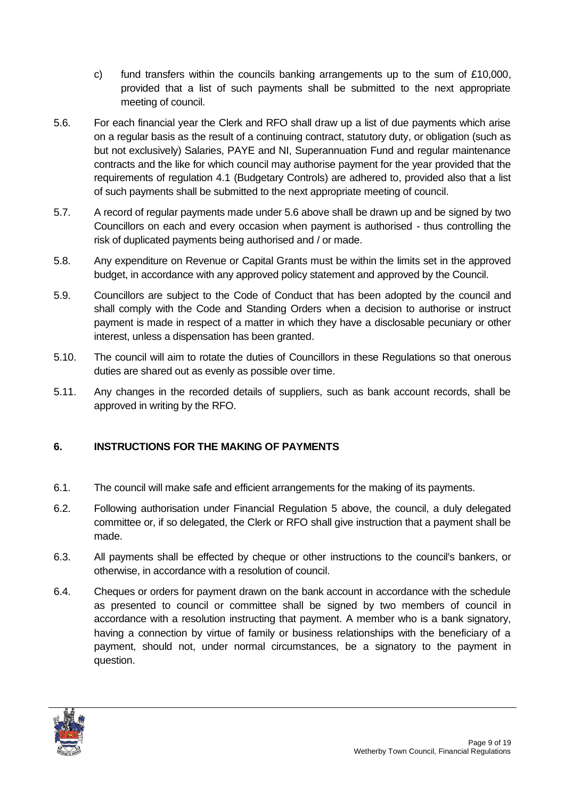- c) fund transfers within the councils banking arrangements up to the sum of  $£10,000$ , provided that a list of such payments shall be submitted to the next appropriate meeting of council.
- 5.6. For each financial year the Clerk and RFO shall draw up a list of due payments which arise on a regular basis as the result of a continuing contract, statutory duty, or obligation (such as but not exclusively) Salaries, PAYE and NI, Superannuation Fund and regular maintenance contracts and the like for which council may authorise payment for the year provided that the requirements of regulation 4.1 (Budgetary Controls) are adhered to, provided also that a list of such payments shall be submitted to the next appropriate meeting of council.
- 5.7. A record of regular payments made under 5.6 above shall be drawn up and be signed by two Councillors on each and every occasion when payment is authorised - thus controlling the risk of duplicated payments being authorised and / or made.
- 5.8. Any expenditure on Revenue or Capital Grants must be within the limits set in the approved budget, in accordance with any approved policy statement and approved by the Council.
- 5.9. Councillors are subject to the Code of Conduct that has been adopted by the council and shall comply with the Code and Standing Orders when a decision to authorise or instruct payment is made in respect of a matter in which they have a disclosable pecuniary or other interest, unless a dispensation has been granted.
- 5.10. The council will aim to rotate the duties of Councillors in these Regulations so that onerous duties are shared out as evenly as possible over time.
- 5.11. Any changes in the recorded details of suppliers, such as bank account records, shall be approved in writing by the RFO.

# <span id="page-8-0"></span>**6. INSTRUCTIONS FOR THE MAKING OF PAYMENTS**

- 6.1. The council will make safe and efficient arrangements for the making of its payments.
- 6.2. Following authorisation under Financial Regulation 5 above, the council, a duly delegated committee or, if so delegated, the Clerk or RFO shall give instruction that a payment shall be made.
- 6.3. All payments shall be effected by cheque or other instructions to the council's bankers, or otherwise, in accordance with a resolution of council.
- 6.4. Cheques or orders for payment drawn on the bank account in accordance with the schedule as presented to council or committee shall be signed by two members of council in accordance with a resolution instructing that payment. A member who is a bank signatory, having a connection by virtue of family or business relationships with the beneficiary of a payment, should not, under normal circumstances, be a signatory to the payment in question.

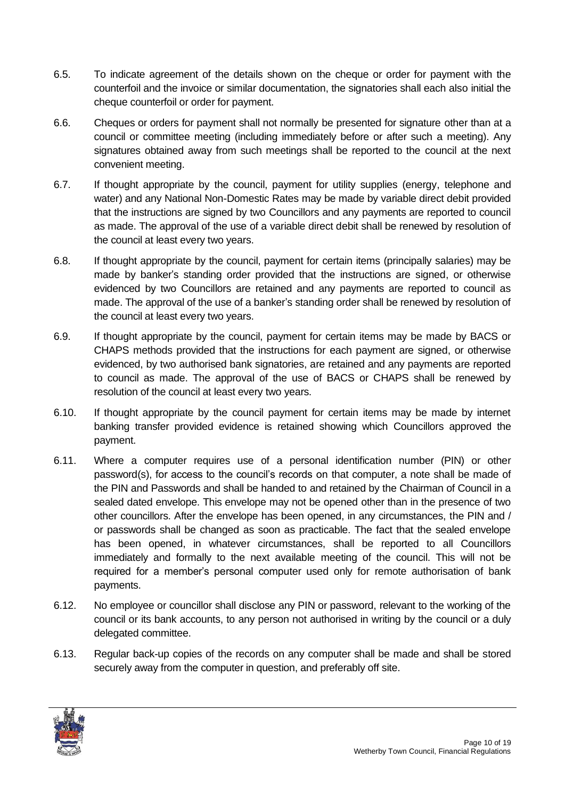- 6.5. To indicate agreement of the details shown on the cheque or order for payment with the counterfoil and the invoice or similar documentation, the signatories shall each also initial the cheque counterfoil or order for payment.
- 6.6. Cheques or orders for payment shall not normally be presented for signature other than at a council or committee meeting (including immediately before or after such a meeting). Any signatures obtained away from such meetings shall be reported to the council at the next convenient meeting.
- 6.7. If thought appropriate by the council, payment for utility supplies (energy, telephone and water) and any National Non-Domestic Rates may be made by variable direct debit provided that the instructions are signed by two Councillors and any payments are reported to council as made. The approval of the use of a variable direct debit shall be renewed by resolution of the council at least every two years.
- 6.8. If thought appropriate by the council, payment for certain items (principally salaries) may be made by banker's standing order provided that the instructions are signed, or otherwise evidenced by two Councillors are retained and any payments are reported to council as made. The approval of the use of a banker's standing order shall be renewed by resolution of the council at least every two years.
- 6.9. If thought appropriate by the council, payment for certain items may be made by BACS or CHAPS methods provided that the instructions for each payment are signed, or otherwise evidenced, by two authorised bank signatories, are retained and any payments are reported to council as made. The approval of the use of BACS or CHAPS shall be renewed by resolution of the council at least every two years.
- 6.10. If thought appropriate by the council payment for certain items may be made by internet banking transfer provided evidence is retained showing which Councillors approved the payment.
- 6.11. Where a computer requires use of a personal identification number (PIN) or other password(s), for access to the council's records on that computer, a note shall be made of the PIN and Passwords and shall be handed to and retained by the Chairman of Council in a sealed dated envelope. This envelope may not be opened other than in the presence of two other councillors. After the envelope has been opened, in any circumstances, the PIN and / or passwords shall be changed as soon as practicable. The fact that the sealed envelope has been opened, in whatever circumstances, shall be reported to all Councillors immediately and formally to the next available meeting of the council. This will not be required for a member's personal computer used only for remote authorisation of bank payments.
- 6.12. No employee or councillor shall disclose any PIN or password, relevant to the working of the council or its bank accounts, to any person not authorised in writing by the council or a duly delegated committee.
- 6.13. Regular back-up copies of the records on any computer shall be made and shall be stored securely away from the computer in question, and preferably off site.

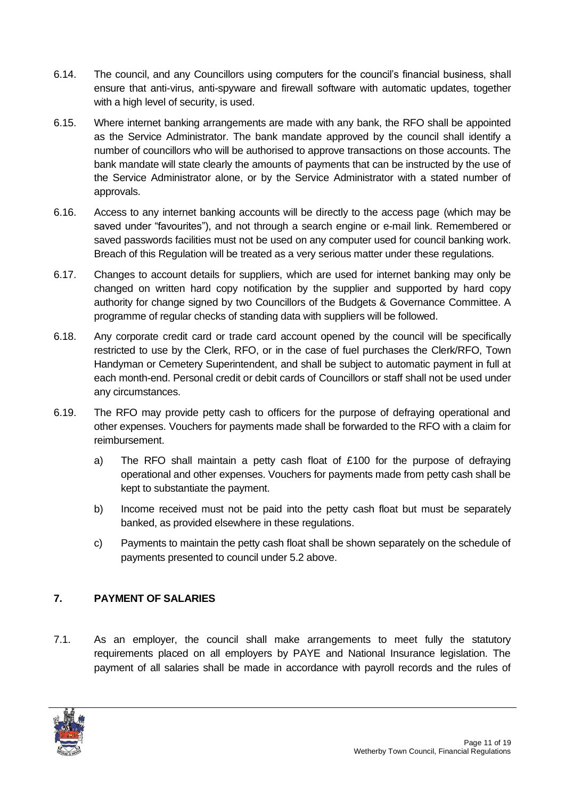- 6.14. The council, and any Councillors using computers for the council's financial business, shall ensure that anti-virus, anti-spyware and firewall software with automatic updates, together with a high level of security, is used.
- 6.15. Where internet banking arrangements are made with any bank, the RFO shall be appointed as the Service Administrator. The bank mandate approved by the council shall identify a number of councillors who will be authorised to approve transactions on those accounts. The bank mandate will state clearly the amounts of payments that can be instructed by the use of the Service Administrator alone, or by the Service Administrator with a stated number of approvals.
- 6.16. Access to any internet banking accounts will be directly to the access page (which may be saved under "favourites"), and not through a search engine or e-mail link. Remembered or saved passwords facilities must not be used on any computer used for council banking work. Breach of this Regulation will be treated as a very serious matter under these regulations.
- 6.17. Changes to account details for suppliers, which are used for internet banking may only be changed on written hard copy notification by the supplier and supported by hard copy authority for change signed by two Councillors of the Budgets & Governance Committee. A programme of regular checks of standing data with suppliers will be followed.
- 6.18. Any corporate credit card or trade card account opened by the council will be specifically restricted to use by the Clerk, RFO, or in the case of fuel purchases the Clerk/RFO, Town Handyman or Cemetery Superintendent, and shall be subject to automatic payment in full at each month-end. Personal credit or debit cards of Councillors or staff shall not be used under any circumstances.
- 6.19. The RFO may provide petty cash to officers for the purpose of defraying operational and other expenses. Vouchers for payments made shall be forwarded to the RFO with a claim for reimbursement.
	- a) The RFO shall maintain a petty cash float of £100 for the purpose of defraying operational and other expenses. Vouchers for payments made from petty cash shall be kept to substantiate the payment.
	- b) Income received must not be paid into the petty cash float but must be separately banked, as provided elsewhere in these regulations.
	- c) Payments to maintain the petty cash float shall be shown separately on the schedule of payments presented to council under 5.2 above.

# <span id="page-10-0"></span>**7. PAYMENT OF SALARIES**

7.1. As an employer, the council shall make arrangements to meet fully the statutory requirements placed on all employers by PAYE and National Insurance legislation. The payment of all salaries shall be made in accordance with payroll records and the rules of

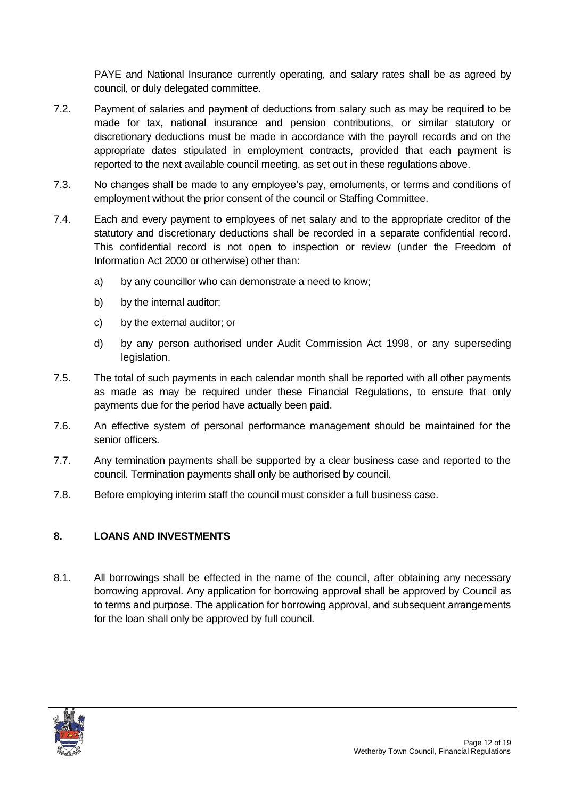PAYE and National Insurance currently operating, and salary rates shall be as agreed by council, or duly delegated committee.

- 7.2. Payment of salaries and payment of deductions from salary such as may be required to be made for tax, national insurance and pension contributions, or similar statutory or discretionary deductions must be made in accordance with the payroll records and on the appropriate dates stipulated in employment contracts, provided that each payment is reported to the next available council meeting, as set out in these regulations above.
- 7.3. No changes shall be made to any employee's pay, emoluments, or terms and conditions of employment without the prior consent of the council or Staffing Committee.
- 7.4. Each and every payment to employees of net salary and to the appropriate creditor of the statutory and discretionary deductions shall be recorded in a separate confidential record. This confidential record is not open to inspection or review (under the Freedom of Information Act 2000 or otherwise) other than:
	- a) by any councillor who can demonstrate a need to know;
	- b) by the internal auditor;
	- c) by the external auditor; or
	- d) by any person authorised under Audit Commission Act 1998, or any superseding legislation.
- 7.5. The total of such payments in each calendar month shall be reported with all other payments as made as may be required under these Financial Regulations, to ensure that only payments due for the period have actually been paid.
- 7.6. An effective system of personal performance management should be maintained for the senior officers.
- 7.7. Any termination payments shall be supported by a clear business case and reported to the council. Termination payments shall only be authorised by council.
- 7.8. Before employing interim staff the council must consider a full business case.

#### <span id="page-11-0"></span>**8. LOANS AND INVESTMENTS**

8.1. All borrowings shall be effected in the name of the council, after obtaining any necessary borrowing approval. Any application for borrowing approval shall be approved by Council as to terms and purpose. The application for borrowing approval, and subsequent arrangements for the loan shall only be approved by full council.

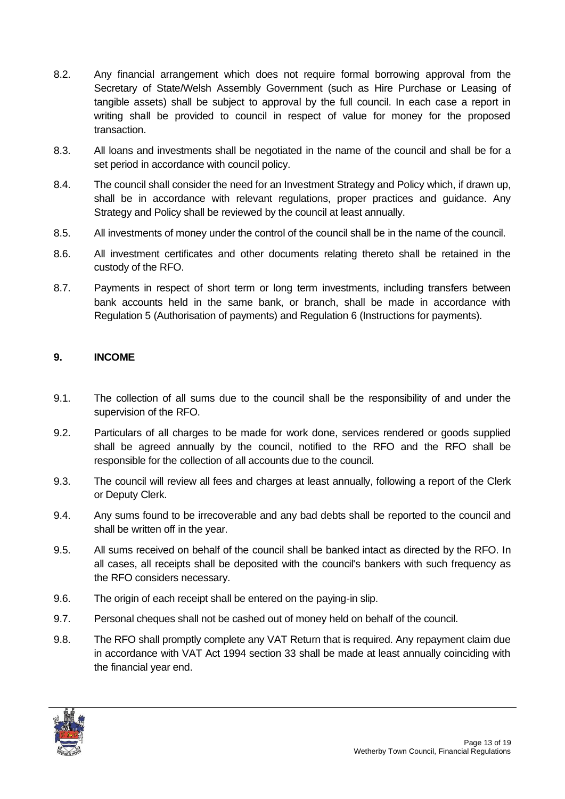- 8.2. Any financial arrangement which does not require formal borrowing approval from the Secretary of State/Welsh Assembly Government (such as Hire Purchase or Leasing of tangible assets) shall be subject to approval by the full council. In each case a report in writing shall be provided to council in respect of value for money for the proposed transaction.
- 8.3. All loans and investments shall be negotiated in the name of the council and shall be for a set period in accordance with council policy.
- 8.4. The council shall consider the need for an Investment Strategy and Policy which, if drawn up, shall be in accordance with relevant regulations, proper practices and guidance. Any Strategy and Policy shall be reviewed by the council at least annually.
- 8.5. All investments of money under the control of the council shall be in the name of the council.
- 8.6. All investment certificates and other documents relating thereto shall be retained in the custody of the RFO.
- 8.7. Payments in respect of short term or long term investments, including transfers between bank accounts held in the same bank, or branch, shall be made in accordance with Regulation 5 (Authorisation of payments) and Regulation 6 (Instructions for payments).

#### <span id="page-12-0"></span>**9. INCOME**

- 9.1. The collection of all sums due to the council shall be the responsibility of and under the supervision of the RFO.
- 9.2. Particulars of all charges to be made for work done, services rendered or goods supplied shall be agreed annually by the council, notified to the RFO and the RFO shall be responsible for the collection of all accounts due to the council.
- 9.3. The council will review all fees and charges at least annually, following a report of the Clerk or Deputy Clerk.
- 9.4. Any sums found to be irrecoverable and any bad debts shall be reported to the council and shall be written off in the year.
- 9.5. All sums received on behalf of the council shall be banked intact as directed by the RFO. In all cases, all receipts shall be deposited with the council's bankers with such frequency as the RFO considers necessary.
- 9.6. The origin of each receipt shall be entered on the paying-in slip.
- 9.7. Personal cheques shall not be cashed out of money held on behalf of the council.
- 9.8. The RFO shall promptly complete any VAT Return that is required. Any repayment claim due in accordance with VAT Act 1994 section 33 shall be made at least annually coinciding with the financial year end.

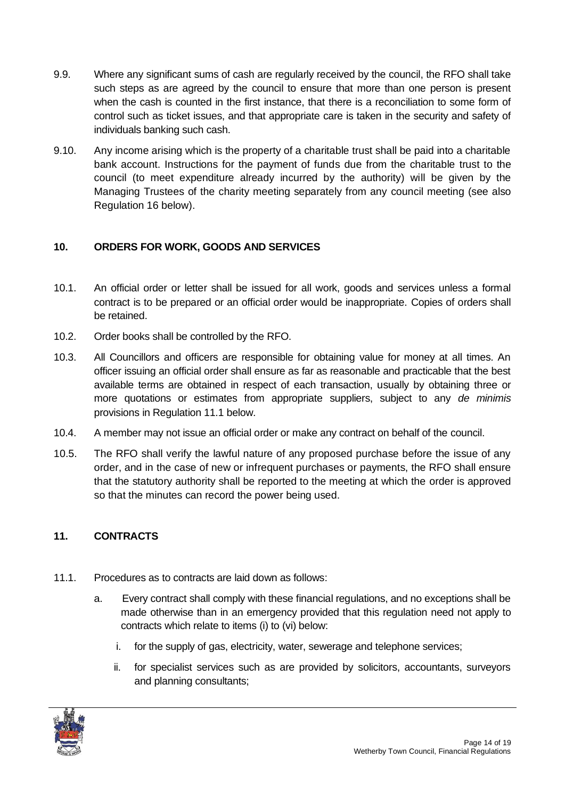- 9.9. Where any significant sums of cash are regularly received by the council, the RFO shall take such steps as are agreed by the council to ensure that more than one person is present when the cash is counted in the first instance, that there is a reconciliation to some form of control such as ticket issues, and that appropriate care is taken in the security and safety of individuals banking such cash.
- 9.10. Any income arising which is the property of a charitable trust shall be paid into a charitable bank account. Instructions for the payment of funds due from the charitable trust to the council (to meet expenditure already incurred by the authority) will be given by the Managing Trustees of the charity meeting separately from any council meeting (see also Regulation 16 below).

# <span id="page-13-0"></span>**10. ORDERS FOR WORK, GOODS AND SERVICES**

- 10.1. An official order or letter shall be issued for all work, goods and services unless a formal contract is to be prepared or an official order would be inappropriate. Copies of orders shall be retained.
- 10.2. Order books shall be controlled by the RFO.
- 10.3. All Councillors and officers are responsible for obtaining value for money at all times. An officer issuing an official order shall ensure as far as reasonable and practicable that the best available terms are obtained in respect of each transaction, usually by obtaining three or more quotations or estimates from appropriate suppliers, subject to any *de minimis* provisions in Regulation 11.1 below.
- 10.4. A member may not issue an official order or make any contract on behalf of the council.
- 10.5. The RFO shall verify the lawful nature of any proposed purchase before the issue of any order, and in the case of new or infrequent purchases or payments, the RFO shall ensure that the statutory authority shall be reported to the meeting at which the order is approved so that the minutes can record the power being used.

# <span id="page-13-1"></span>**11. CONTRACTS**

- 11.1. Procedures as to contracts are laid down as follows:
	- a. Every contract shall comply with these financial regulations, and no exceptions shall be made otherwise than in an emergency provided that this regulation need not apply to contracts which relate to items (i) to (vi) below:
		- i. for the supply of gas, electricity, water, sewerage and telephone services;
		- ii. for specialist services such as are provided by solicitors, accountants, surveyors and planning consultants;

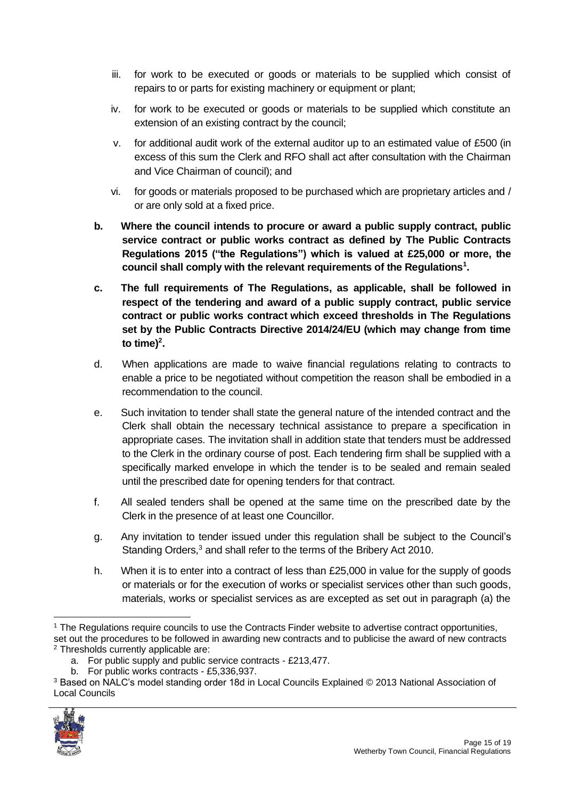- iii. for work to be executed or goods or materials to be supplied which consist of repairs to or parts for existing machinery or equipment or plant;
- iv. for work to be executed or goods or materials to be supplied which constitute an extension of an existing contract by the council;
- v. for additional audit work of the external auditor up to an estimated value of £500 (in excess of this sum the Clerk and RFO shall act after consultation with the Chairman and Vice Chairman of council); and
- vi. for goods or materials proposed to be purchased which are proprietary articles and / or are only sold at a fixed price.
- **b. Where the council intends to procure or award a public supply contract, public service contract or public works contract as defined by The Public Contracts Regulations 2015 ("the Regulations") which is valued at £25,000 or more, the council shall comply with the relevant requirements of the Regulations<sup>1</sup> .**
- **c. The full requirements of The Regulations, as applicable, shall be followed in respect of the tendering and award of a public supply contract, public service contract or public works contract which exceed thresholds in The Regulations set by the Public Contracts Directive 2014/24/EU (which may change from time**  to time)<sup>2</sup>.
- d. When applications are made to waive financial regulations relating to contracts to enable a price to be negotiated without competition the reason shall be embodied in a recommendation to the council.
- e. Such invitation to tender shall state the general nature of the intended contract and the Clerk shall obtain the necessary technical assistance to prepare a specification in appropriate cases. The invitation shall in addition state that tenders must be addressed to the Clerk in the ordinary course of post. Each tendering firm shall be supplied with a specifically marked envelope in which the tender is to be sealed and remain sealed until the prescribed date for opening tenders for that contract.
- f. All sealed tenders shall be opened at the same time on the prescribed date by the Clerk in the presence of at least one Councillor.
- g. Any invitation to tender issued under this regulation shall be subject to the Council's Standing Orders,<sup>3</sup> and shall refer to the terms of the Bribery Act 2010.
- h. When it is to enter into a contract of less than £25,000 in value for the supply of goods or materials or for the execution of works or specialist services other than such goods, materials, works or specialist services as are excepted as set out in paragraph (a) the

<sup>3</sup> Based on NALC's model standing order 18d in Local Councils Explained © 2013 National Association of Local Councils



<sup>&</sup>lt;sup>1</sup> The Regulations require councils to use the Contracts Finder website to advertise contract opportunities, set out the procedures to be followed in awarding new contracts and to publicise the award of new contracts <sup>2</sup> Thresholds currently applicable are:

a. For public supply and public service contracts - £213,477.

b. For public works contracts - £5,336,937.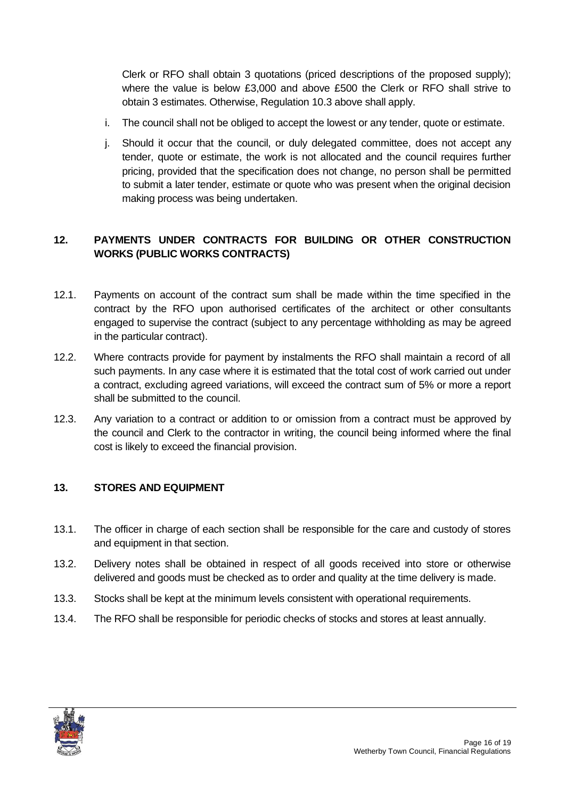Clerk or RFO shall obtain 3 quotations (priced descriptions of the proposed supply); where the value is below £3,000 and above £500 the Clerk or RFO shall strive to obtain 3 estimates. Otherwise, Regulation 10.3 above shall apply.

- i. The council shall not be obliged to accept the lowest or any tender, quote or estimate.
- j. Should it occur that the council, or duly delegated committee, does not accept any tender, quote or estimate, the work is not allocated and the council requires further pricing, provided that the specification does not change, no person shall be permitted to submit a later tender, estimate or quote who was present when the original decision making process was being undertaken.

# <span id="page-15-0"></span>**12. PAYMENTS UNDER CONTRACTS FOR BUILDING OR OTHER CONSTRUCTION WORKS (PUBLIC WORKS CONTRACTS)**

- 12.1. Payments on account of the contract sum shall be made within the time specified in the contract by the RFO upon authorised certificates of the architect or other consultants engaged to supervise the contract (subject to any percentage withholding as may be agreed in the particular contract).
- 12.2. Where contracts provide for payment by instalments the RFO shall maintain a record of all such payments. In any case where it is estimated that the total cost of work carried out under a contract, excluding agreed variations, will exceed the contract sum of 5% or more a report shall be submitted to the council.
- 12.3. Any variation to a contract or addition to or omission from a contract must be approved by the council and Clerk to the contractor in writing, the council being informed where the final cost is likely to exceed the financial provision.

# <span id="page-15-1"></span>**13. STORES AND EQUIPMENT**

- 13.1. The officer in charge of each section shall be responsible for the care and custody of stores and equipment in that section.
- 13.2. Delivery notes shall be obtained in respect of all goods received into store or otherwise delivered and goods must be checked as to order and quality at the time delivery is made.
- 13.3. Stocks shall be kept at the minimum levels consistent with operational requirements.
- 13.4. The RFO shall be responsible for periodic checks of stocks and stores at least annually.

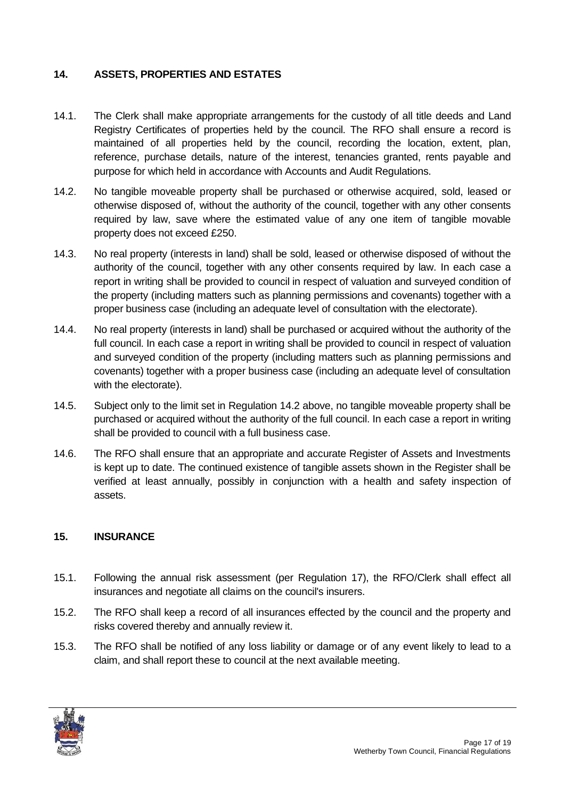#### <span id="page-16-0"></span>**14. ASSETS, PROPERTIES AND ESTATES**

- 14.1. The Clerk shall make appropriate arrangements for the custody of all title deeds and Land Registry Certificates of properties held by the council. The RFO shall ensure a record is maintained of all properties held by the council, recording the location, extent, plan, reference, purchase details, nature of the interest, tenancies granted, rents payable and purpose for which held in accordance with Accounts and Audit Regulations.
- 14.2. No tangible moveable property shall be purchased or otherwise acquired, sold, leased or otherwise disposed of, without the authority of the council, together with any other consents required by law, save where the estimated value of any one item of tangible movable property does not exceed £250.
- 14.3. No real property (interests in land) shall be sold, leased or otherwise disposed of without the authority of the council, together with any other consents required by law. In each case a report in writing shall be provided to council in respect of valuation and surveyed condition of the property (including matters such as planning permissions and covenants) together with a proper business case (including an adequate level of consultation with the electorate).
- 14.4. No real property (interests in land) shall be purchased or acquired without the authority of the full council. In each case a report in writing shall be provided to council in respect of valuation and surveyed condition of the property (including matters such as planning permissions and covenants) together with a proper business case (including an adequate level of consultation with the electorate).
- 14.5. Subject only to the limit set in Regulation 14.2 above, no tangible moveable property shall be purchased or acquired without the authority of the full council. In each case a report in writing shall be provided to council with a full business case.
- 14.6. The RFO shall ensure that an appropriate and accurate Register of Assets and Investments is kept up to date. The continued existence of tangible assets shown in the Register shall be verified at least annually, possibly in conjunction with a health and safety inspection of assets.

#### <span id="page-16-1"></span>**15. INSURANCE**

- 15.1. Following the annual risk assessment (per Regulation 17), the RFO/Clerk shall effect all insurances and negotiate all claims on the council's insurers.
- 15.2. The RFO shall keep a record of all insurances effected by the council and the property and risks covered thereby and annually review it.
- 15.3. The RFO shall be notified of any loss liability or damage or of any event likely to lead to a claim, and shall report these to council at the next available meeting.

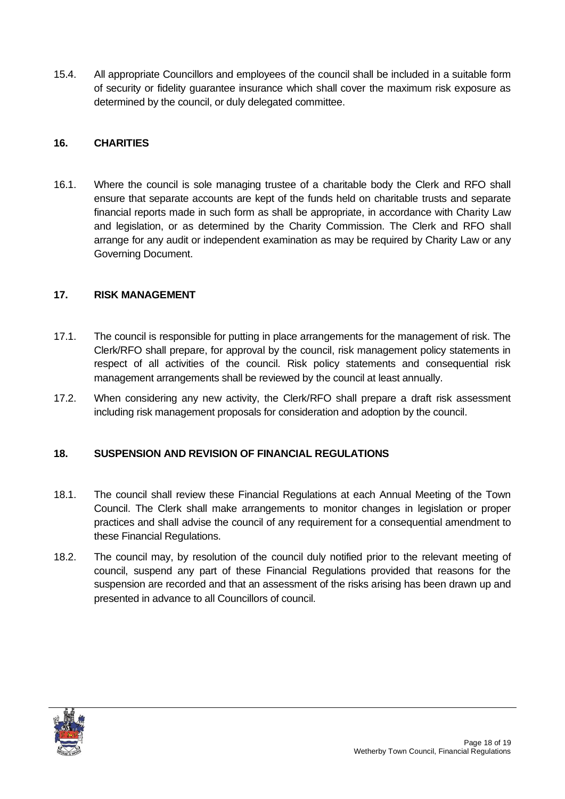15.4. All appropriate Councillors and employees of the council shall be included in a suitable form of security or fidelity guarantee insurance which shall cover the maximum risk exposure as determined by the council, or duly delegated committee.

#### <span id="page-17-0"></span>**16. CHARITIES**

16.1. Where the council is sole managing trustee of a charitable body the Clerk and RFO shall ensure that separate accounts are kept of the funds held on charitable trusts and separate financial reports made in such form as shall be appropriate, in accordance with Charity Law and legislation, or as determined by the Charity Commission. The Clerk and RFO shall arrange for any audit or independent examination as may be required by Charity Law or any Governing Document.

#### <span id="page-17-1"></span>**17. RISK MANAGEMENT**

- 17.1. The council is responsible for putting in place arrangements for the management of risk. The Clerk/RFO shall prepare, for approval by the council, risk management policy statements in respect of all activities of the council. Risk policy statements and consequential risk management arrangements shall be reviewed by the council at least annually.
- 17.2. When considering any new activity, the Clerk/RFO shall prepare a draft risk assessment including risk management proposals for consideration and adoption by the council.

#### <span id="page-17-2"></span>**18. SUSPENSION AND REVISION OF FINANCIAL REGULATIONS**

- 18.1. The council shall review these Financial Regulations at each Annual Meeting of the Town Council. The Clerk shall make arrangements to monitor changes in legislation or proper practices and shall advise the council of any requirement for a consequential amendment to these Financial Regulations.
- 18.2. The council may, by resolution of the council duly notified prior to the relevant meeting of council, suspend any part of these Financial Regulations provided that reasons for the suspension are recorded and that an assessment of the risks arising has been drawn up and presented in advance to all Councillors of council.